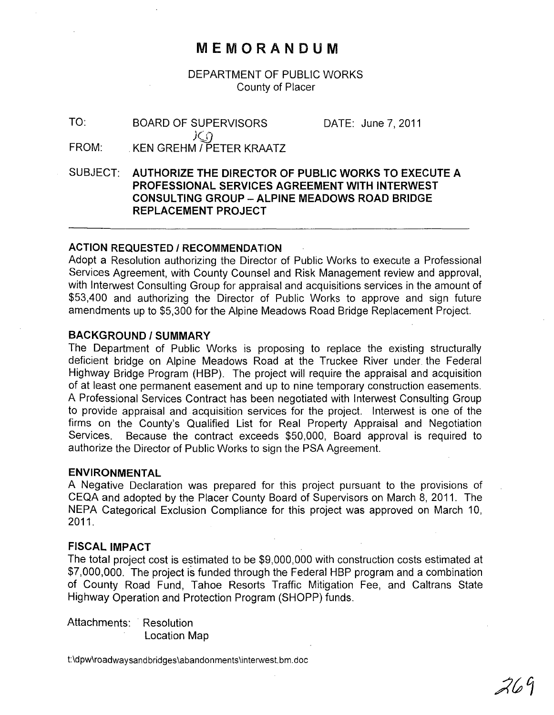## **MEMORANDUM**

DEPARTMENT OF PUBLIC WORKS County of Placer

TO: FROM: BOARD OF SUPERVISORS  $J$ C $\cap$ KEN GREHM / PETER KRAATZ DATE: June 7,2011

SUBJECT: **AUTHORIZE THE DIRECTOR OF PUBLIC WORKS TO EXECUTE A PROFESSIONAL SERVICES AGREEMENT WITH INTERWEST CONSULTING GROUP - ALPINE MEADOWS ROAD BRIDGE REPLACEMENT PROJECT** 

#### **ACTION REQUESTED I RECOMMENDATION**

Adopt a Resolution authorizing the Director of Public Works to execute a Professional Services Agreement, with County Counsel and Risk Management review and approval, with Interwest Consulting Group for appraisal and acquisitions services in the amount of \$53,400 and authorizing the Director of Public Works to approve and sign future amendments up to \$5,300 for the Alpine Meadows Road Bridge Replacement Project.

#### **BACKGROUND/SUMMARY**

The Department of Public Works is proposing to replace the existing structurally deficient bridge on Alpine Meadows Road at the Truckee River under the Federal Highway Bridge Program (HBP). The project will require the appraisal and acquisition of at least one permanent easement and up to nine temporary construction easements. A Professional Services Contract has been negotiated with Interwest Consulting Group to provide appraisal and acquisition services for the project. Interwest is one of the firms on the County's Qualified List for Real Property Appraisal and Negotiation Services. Because the contract exceeds \$50,000, Board approval is required to authorize the Director of Public Works to sign the PSA Agreement.

#### **ENVIRONMENTAL**

A Negative Declaration was prepared for this project pursuant to the provisions of CEQA and adopted by the Placer County Board of Supervisors on March 8, 2011. The NEPA Categorical Exclusion Compliance for this project was approved on March 10, 2011.

#### **FISCAL IMPACT**

The total project cost is estimated to be \$9,000,000 with construction costs estimated at \$7,000,000. The project is funded through the Federal HBP program and a combination of County Road Fund, Tahoe Resorts Traffic Mitigation Fee, and Caltrans State Highway Operation and Protection Program (SHOPP) funds.

Attachments: Resolution Location Map

t:\dpw\roadwaysandbridges\abandonments\interwest.bm.doc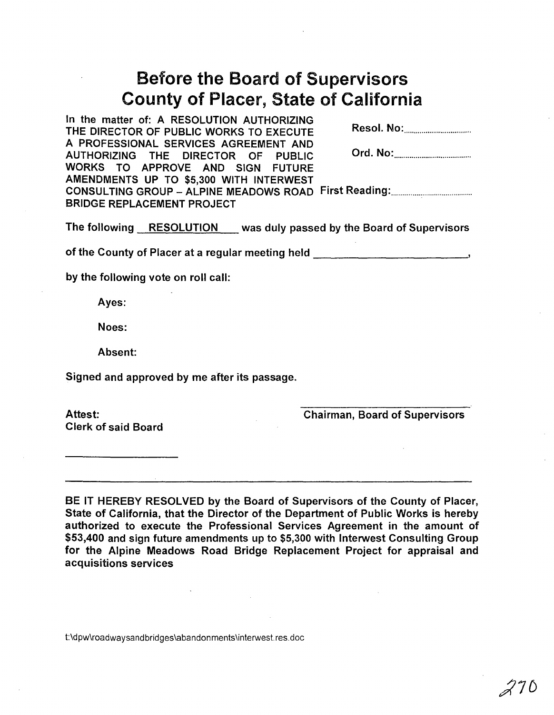# Before the Board of Supervisors County of Placer, State of California

In the matter of: A RESOLUTION AUTHORIZING THE DIRECTOR OF PUBLIC WORKS TO EXECUTE Resol. No: .................................. . A PROFESSIONAL SERVICES AGREEMENT AND AUTHORIZING THE DIRECTOR OF PUBLIC Ord. No: ....................................... . WORKS TO APPROVE AND SIGN FUTURE AMENDMENTS UP TO \$5,300 WITH INTERWEST CONSULTING GROUP - ALPINE MEADOWS ROAD First Reading: ......................................... . BRIDGE REPLACEMENT PROJECT

The following RESOLUTION was duly passed by the Board of Supervisors

of the County of Placer at a regular meeting held  $\qquad \qquad$ 

by the following vote on roll call:

Ayes:

Noes:

Absent:

Signed and approved by me after its passage.

Clerk of said Board

Attest: Chairman, Board of Supervisors

BE IT HEREBY RESOLVED by the Board of Supervisors of the County of Placer, State of California, that the Director of the Department of Public Works is hereby authorized to execute the Professional Services Agreement in the amount of \$53,400 and sign future amendments up to \$5,300 with Interwest Consulting Group for the Alpine Meadows Road Bridge Replacement Project for appraisal and acquisitions services

t:\dpw\roadwaysandbridges\abandonments\interwest.res.doc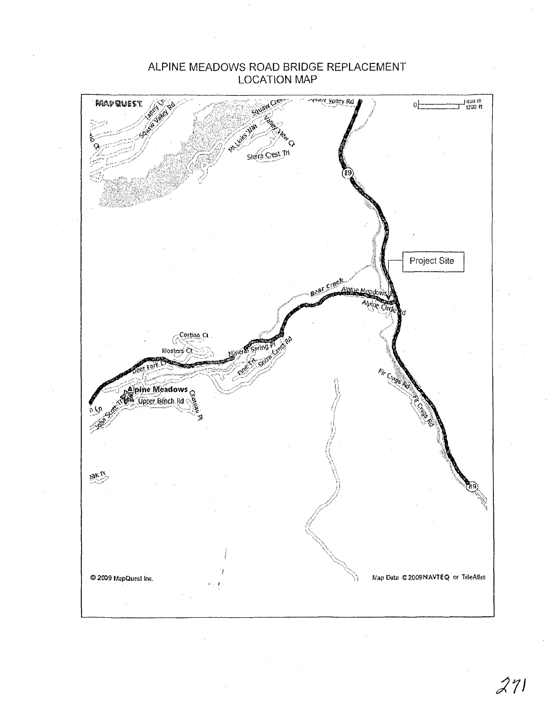### ALPINE MEADOWS ROAD BRIDGE REPLACEMENT **LOCATION MAP**



 $271$